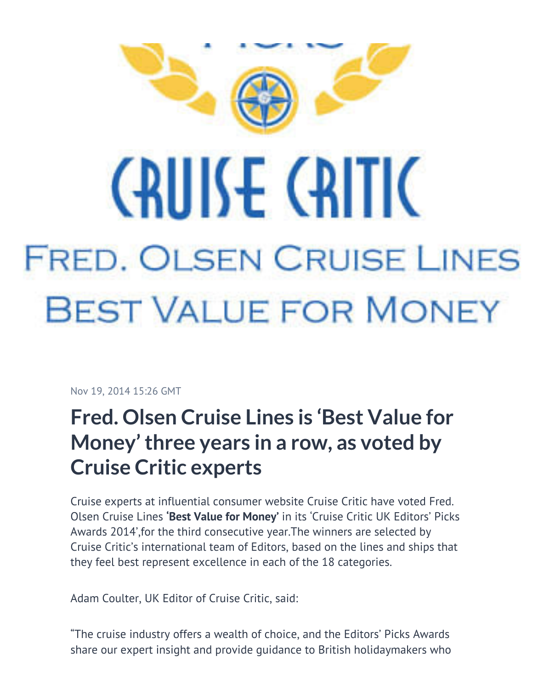

## **CAULSE CAITIC FRED. OLSEN CRUISE LINES BEST VALUE FOR MONEY**

Nov 19, 2014 15:26 GMT

## **Fred. Olsen Cruise Lines is 'Best Value for Money' three years in a row, as voted by Cruise Critic experts**

Cruise experts at influential consumer website Cruise Critic have voted Fred. Olsen Cruise Lines **'Best Value for Money'** in its 'Cruise Critic UK Editors' Picks Awards 2014',for the third consecutive year.The winners are selected by Cruise Critic's international team of Editors, based on the lines and ships that they feel best represent excellence in each of the 18 categories.

Adam Coulter, UK Editor of Cruise Critic, said:

"The cruise industry offers a wealth of choice, and the Editors' Picks Awards share our expert insight and provide guidance to British holidaymakers who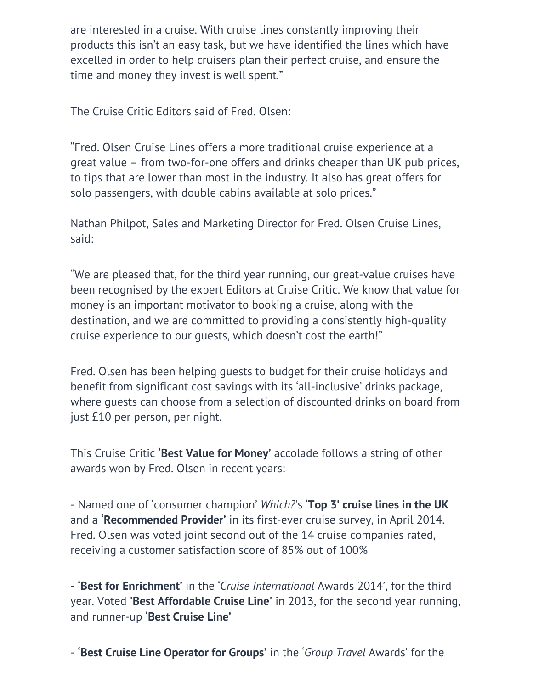are interested in a cruise. With cruise lines constantly improving their products this isn't an easy task, but we have identified the lines which have excelled in order to help cruisers plan their perfect cruise, and ensure the time and money they invest is well spent."

The Cruise Critic Editors said of Fred. Olsen:

"Fred. Olsen Cruise Lines offers a more traditional cruise experience at a great value – from two-for-one offers and drinks cheaper than UK pub prices, to tips that are lower than most in the industry. It also has great offers for solo passengers, with double cabins available at solo prices."

Nathan Philpot, Sales and Marketing Director for Fred. Olsen Cruise Lines, said:

"We are pleased that, for the third year running, our great-value cruises have been recognised by the expert Editors at Cruise Critic. We know that value for money is an important motivator to booking a cruise, along with the destination, and we are committed to providing a consistently high-quality cruise experience to our guests, which doesn't cost the earth!"

Fred. Olsen has been helping guests to budget for their cruise holidays and benefit from significant cost savings with its 'all-inclusive' drinks package, where guests can choose from a selection of discounted drinks on board from just £10 per person, per night.

This Cruise Critic **'Best Value for Money'** accolade follows a string of other awards won by Fred. Olsen in recent years:

- Named one of 'consumer champion' *Which?*'s '**Top 3' cruise lines in the UK** and a **'Recommended Provider'** in its first-ever cruise survey, in April 2014. Fred. Olsen was voted joint second out of the 14 cruise companies rated, receiving a customer satisfaction score of 85% out of 100%

- **'Best for Enrichment'** in the '*Cruise International* Awards 2014', for the third year. Voted **'Best Affordable Cruise Line'** in 2013, for the second year running, and runner-up **'Best Cruise Line'**

- **'Best Cruise Line Operator for Groups'** in the '*Group Travel* Awards' for the